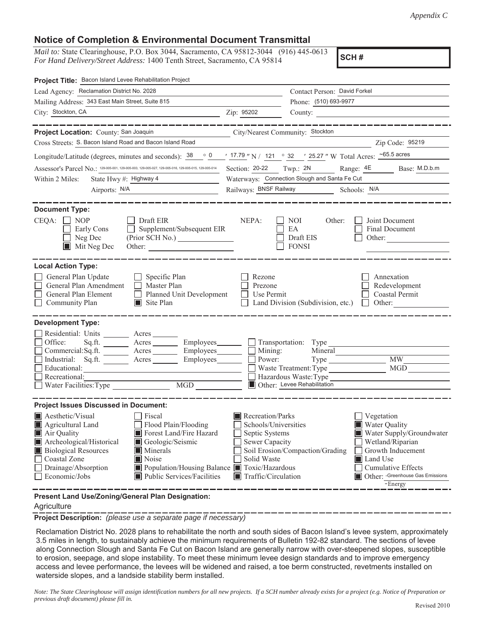## **Notice of Completion & Environmental Document Transmittal**

*Mail to:* State Clearinghouse, P.O. Box 3044, Sacramento, CA 95812-3044 (916) 445-0613 *For Hand Delivery/Street Address:* 1400 Tenth Street, Sacramento, CA 95814

**SCH #**

| Project Title: Bacon Island Levee Rehabilitation Project                                                                                                                                                                                                                                                                                                                                                                                                                                                                                               |                                                                                                                                                                                                                                                                                                                                             |                                                                                                              |                                                         |  |  |
|--------------------------------------------------------------------------------------------------------------------------------------------------------------------------------------------------------------------------------------------------------------------------------------------------------------------------------------------------------------------------------------------------------------------------------------------------------------------------------------------------------------------------------------------------------|---------------------------------------------------------------------------------------------------------------------------------------------------------------------------------------------------------------------------------------------------------------------------------------------------------------------------------------------|--------------------------------------------------------------------------------------------------------------|---------------------------------------------------------|--|--|
| Lead Agency: Reclamation District No. 2028                                                                                                                                                                                                                                                                                                                                                                                                                                                                                                             |                                                                                                                                                                                                                                                                                                                                             | Contact Person: David Forkel                                                                                 |                                                         |  |  |
| Mailing Address: 343 East Main Street, Suite 815                                                                                                                                                                                                                                                                                                                                                                                                                                                                                                       |                                                                                                                                                                                                                                                                                                                                             | Phone: (510) 693-9977                                                                                        |                                                         |  |  |
| City: Stockton, CA                                                                                                                                                                                                                                                                                                                                                                                                                                                                                                                                     | Zip: 95202                                                                                                                                                                                                                                                                                                                                  |                                                                                                              | County:                                                 |  |  |
|                                                                                                                                                                                                                                                                                                                                                                                                                                                                                                                                                        |                                                                                                                                                                                                                                                                                                                                             |                                                                                                              |                                                         |  |  |
| Project Location: County: San Joaquin                                                                                                                                                                                                                                                                                                                                                                                                                                                                                                                  | City/Nearest Community: Stockton                                                                                                                                                                                                                                                                                                            |                                                                                                              |                                                         |  |  |
| Cross Streets: S. Bacon Island Road and Bacon Island Road                                                                                                                                                                                                                                                                                                                                                                                                                                                                                              |                                                                                                                                                                                                                                                                                                                                             |                                                                                                              | Zip Code: 95219                                         |  |  |
| Longitude/Latitude (degrees, minutes and seconds): $38 \cdot 0$                                                                                                                                                                                                                                                                                                                                                                                                                                                                                        |                                                                                                                                                                                                                                                                                                                                             | $\frac{1}{2}$ 17.79 " N / 121 ° 32 ' 25.27 " W Total Acres: $\frac{65.5 \text{ acres}}{25.27 \text{ miles}}$ |                                                         |  |  |
| Assessor's Parcel No.: 129-005-001, 129-005-003, 129-005-027, 129-005-016, 129-005-015, 129-005-014                                                                                                                                                                                                                                                                                                                                                                                                                                                    | Section: 20-22 Twp.: 2N<br>Range: 4E<br>Base: M.D.b.m                                                                                                                                                                                                                                                                                       |                                                                                                              |                                                         |  |  |
| State Hwy #: Highway 4<br>Within 2 Miles:                                                                                                                                                                                                                                                                                                                                                                                                                                                                                                              | Waterways: Connection Slough and Santa Fe Cut                                                                                                                                                                                                                                                                                               |                                                                                                              |                                                         |  |  |
| Airports: N/A                                                                                                                                                                                                                                                                                                                                                                                                                                                                                                                                          |                                                                                                                                                                                                                                                                                                                                             |                                                                                                              |                                                         |  |  |
| <b>Document Type:</b><br>CEQA:<br>$\Box$ NOP<br>Draft EIR<br>Supplement/Subsequent EIR<br>Early Cons<br>Neg Dec<br>Mit Neg Dec<br>Other:                                                                                                                                                                                                                                                                                                                                                                                                               | NEPA:                                                                                                                                                                                                                                                                                                                                       | NOI<br>Other:<br>EA<br>Draft EIS<br><b>FONSI</b>                                                             | Joint Document<br>Final Document<br>Other:              |  |  |
| <b>Local Action Type:</b><br>General Plan Update<br>$\Box$ Specific Plan<br>General Plan Amendment<br>$\Box$ Master Plan<br>General Plan Element<br>Planned Unit Development<br>Community Plan<br>$\Box$ Site Plan                                                                                                                                                                                                                                                                                                                                     | Rezone<br>Prezone<br>Use Permit                                                                                                                                                                                                                                                                                                             | Land Division (Subdivision, etc.)                                                                            | Annexation<br>Redevelopment<br>Coastal Permit<br>Other: |  |  |
| <b>Development Type:</b>                                                                                                                                                                                                                                                                                                                                                                                                                                                                                                                               |                                                                                                                                                                                                                                                                                                                                             |                                                                                                              |                                                         |  |  |
| Residential: Units ________ Acres ______<br>Office:<br>Acres _________ Employees________ __ Transportation: Type<br>Sq.ft.<br>Commercial:Sq.ft. _______ Acres ________ Employees_______  <br>Industrial: Sq.ft. _______ Acres _______<br>Employees________<br>Educational:<br>Recreational:<br>MGD THE METAL STATE OF THE STATE OF THE STATE OF THE STATE OF THE STATE OF THE STATE OF THE STATE OF THE STATE OF THE STATE OF THE STATE OF THE STATE OF THE STATE OF THE STATE OF THE STATE OF THE STATE OF THE STATE OF THE<br>Water Facilities: Type | Power:                                                                                                                                                                                                                                                                                                                                      | Mining:<br>Mineral<br>Waste Treatment: Type<br>Hazardous Waste: Type<br>Other: Levee Rehabilitation          | <b>MW</b><br><b>MGD</b>                                 |  |  |
| <b>Project Issues Discussed in Document:</b>                                                                                                                                                                                                                                                                                                                                                                                                                                                                                                           |                                                                                                                                                                                                                                                                                                                                             |                                                                                                              |                                                         |  |  |
| Aesthetic/Visual<br>Fiscal<br>Flood Plain/Flooding<br>Agricultural Land<br>Forest Land/Fire Hazard<br>Air Quality<br>Archeological/Historical<br>Geologic/Seismic<br><b>Biological Resources</b><br>Minerals<br>Coastal Zone<br>Noise<br>Drainage/Absorption<br>Population/Housing Balance Toxic/Hazardous<br>Economic/Jobs<br>Public Services/Facilities                                                                                                                                                                                              | Recreation/Parks<br>Vegetation<br>Water Quality<br>Schools/Universities<br>Septic Systems<br>Water Supply/Groundwater<br>Sewer Capacity<br>Wetland/Riparian<br>Soil Erosion/Compaction/Grading<br>Growth Inducement<br>Solid Waste<br>Land Use<br>Cumulative Effects<br>Other: - Greenhouse Gas Emissions<br>Traffic/Circulation<br>-Energy |                                                                                                              |                                                         |  |  |
| Present Land Use/Zoning/General Plan Designation:                                                                                                                                                                                                                                                                                                                                                                                                                                                                                                      |                                                                                                                                                                                                                                                                                                                                             |                                                                                                              |                                                         |  |  |

## **Agriculture**

**Project Description:** *(please use a separate page if necessary)*

Reclamation District No. 2028 plans to rehabilitate the north and south sides of Bacon Island's levee system, approximately 3.5 miles in length, to sustainably achieve the minimum requirements of Bulletin 192-82 standard. The sections of levee along Connection Slough and Santa Fe Cut on Bacon Island are generally narrow with over-steepened slopes, susceptible to erosion, seepage, and slope instability. To meet these minimum levee design standards and to improve emergency access and levee performance, the levees will be widened and raised, a toe berm constructed, revetments installed on waterside slopes, and a landside stability berm installed.

*Note: The State Clearinghouse will assign identification numbers for all new projects. If a SCH number already exists for a project (e.g. Notice of Preparation or previous draft document) please fill in.*